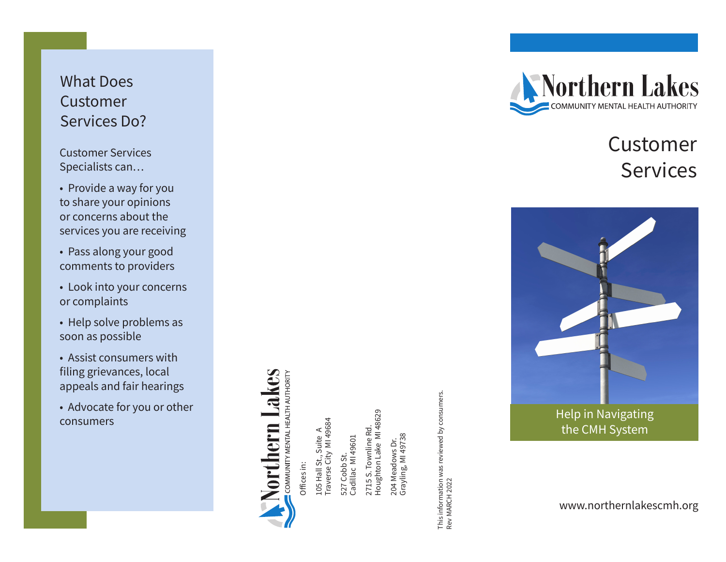### What Does Customer Services Do?

Customer Services Specialists can…

- Provide a way for you to share your opinions or concerns about the services you are receiving
- Pass along your good comments to providers
- Look into your concerns or complaints
- Help solve problems as soon as possible
- Assist consumers with filing grievances, local appeals and fair hearings
- Advocate for you or other



Offices in: Offices in:

105 Hall St., Suite A Traverse City MI 49684

527 Cobb St.<br>Cadillac MI 49601 Cadillac MI 49601 527 Cobb St.

2715 S. Townline Rd. Houghton Lake MI 48629

204 Meadows Dr. Grayling, MI 49738 This information was reviewed by consumers. Rev MARCH 2022



# Customer Services



the CMH System

www.northernlakescmh.org